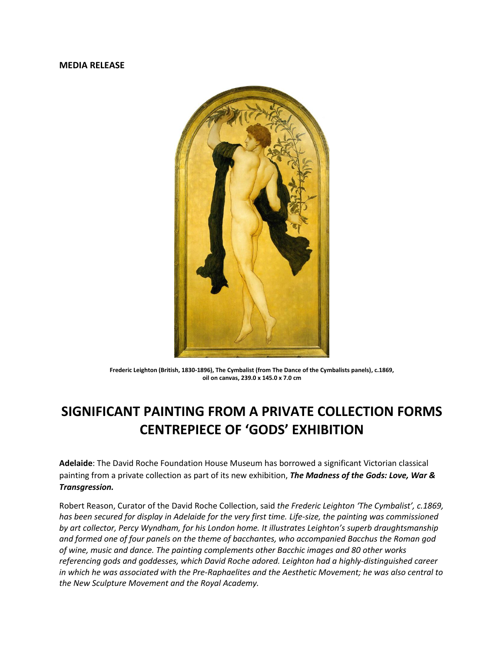## **MEDIA RELEASE**



**Frederic Leighton (British, 1830-1896), The Cymbalist (from The Dance of the Cymbalists panels), c.1869, oil on canvas, 239.0 x 145.0 x 7.0 cm**

## **SIGNIFICANT PAINTING FROM A PRIVATE COLLECTION FORMS CENTREPIECE OF 'GODS' EXHIBITION**

**Adelaide**: The David Roche Foundation House Museum has borrowed a significant Victorian classical painting from a private collection as part of its new exhibition, *The Madness of the Gods: Love, War & Transgression.* 

Robert Reason, Curator of the David Roche Collection, said *the Frederic Leighton 'The Cymbalist', c.1869, has been secured for display in Adelaide for the very first time. Life-size, the painting was commissioned by art collector, Percy Wyndham, for his London home. It illustrates Leighton's superb draughtsmanship and formed one of four panels on the theme of bacchantes, who accompanied Bacchus the Roman god of wine, music and dance. The painting complements other Bacchic images and 80 other works referencing gods and goddesses, which David Roche adored. Leighton had a highly-distinguished career in which he was associated with the Pre-Raphaelites and the Aesthetic Movement; he was also central to the New Sculpture Movement and the Royal Academy.*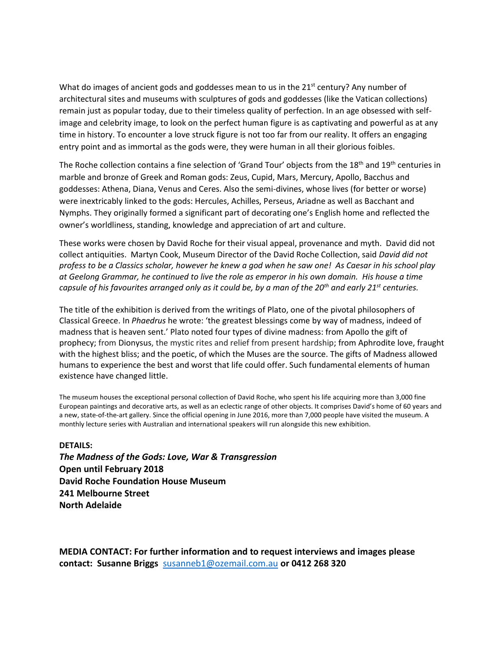What do images of ancient gods and goddesses mean to us in the  $21<sup>st</sup>$  century? Any number of architectural sites and museums with sculptures of gods and goddesses (like the Vatican collections) remain just as popular today, due to their timeless quality of perfection. In an age obsessed with selfimage and celebrity image, to look on the perfect human figure is as captivating and powerful as at any time in history. To encounter a love struck figure is not too far from our reality. It offers an engaging entry point and as immortal as the gods were, they were human in all their glorious foibles.

The Roche collection contains a fine selection of 'Grand Tour' objects from the 18<sup>th</sup> and 19<sup>th</sup> centuries in marble and bronze of Greek and Roman gods: Zeus, Cupid, Mars, Mercury, Apollo, Bacchus and goddesses: Athena, Diana, Venus and Ceres. Also the semi-divines, whose lives (for better or worse) were inextricably linked to the gods: Hercules, Achilles, Perseus, Ariadne as well as Bacchant and Nymphs. They originally formed a significant part of decorating one's English home and reflected the owner's worldliness, standing, knowledge and appreciation of art and culture.

These works were chosen by David Roche for their visual appeal, provenance and myth. David did not collect antiquities. Martyn Cook, Museum Director of the David Roche Collection, said *David did not profess to be a Classics scholar, however he knew a god when he saw one! As Caesar in his school play at Geelong Grammar, he continued to live the role as emperor in his own domain. His house a time capsule of his favourites arranged only as it could be, by a man of the 20th and early 21st centuries.*

The title of the exhibition is derived from the writings of Plato, one of the pivotal philosophers of Classical Greece. In *Phaedrus* he wrote: 'the greatest blessings come by way of madness, indeed of madness that is heaven sent.' Plato noted four types of divine madness: from Apollo the gift of prophecy; from Dionysus, the mystic rites and relief from present hardship; from Aphrodite love, fraught with the highest bliss; and the poetic, of which the Muses are the source. The gifts of Madness allowed humans to experience the best and worst that life could offer. Such fundamental elements of human existence have changed little.

The museum houses the exceptional personal collection of David Roche, who spent his life acquiring more than 3,000 fine European paintings and decorative arts, as well as an eclectic range of other objects. It comprises David's home of 60 years and a new, state-of-the-art gallery. Since the official opening in June 2016, more than 7,000 people have visited the museum. A monthly lecture series with Australian and international speakers will run alongside this new exhibition.

## **DETAILS:**

*The Madness of the Gods: Love, War & Transgression* **Open until February 2018 David Roche Foundation House Museum 241 Melbourne Street North Adelaide**

**MEDIA CONTACT: For further information and to request interviews and images please contact: Susanne Briggs** [susanneb1@ozemail.com.au](mailto:susanneb1@ozemail.com.au) **or 0412 268 320**